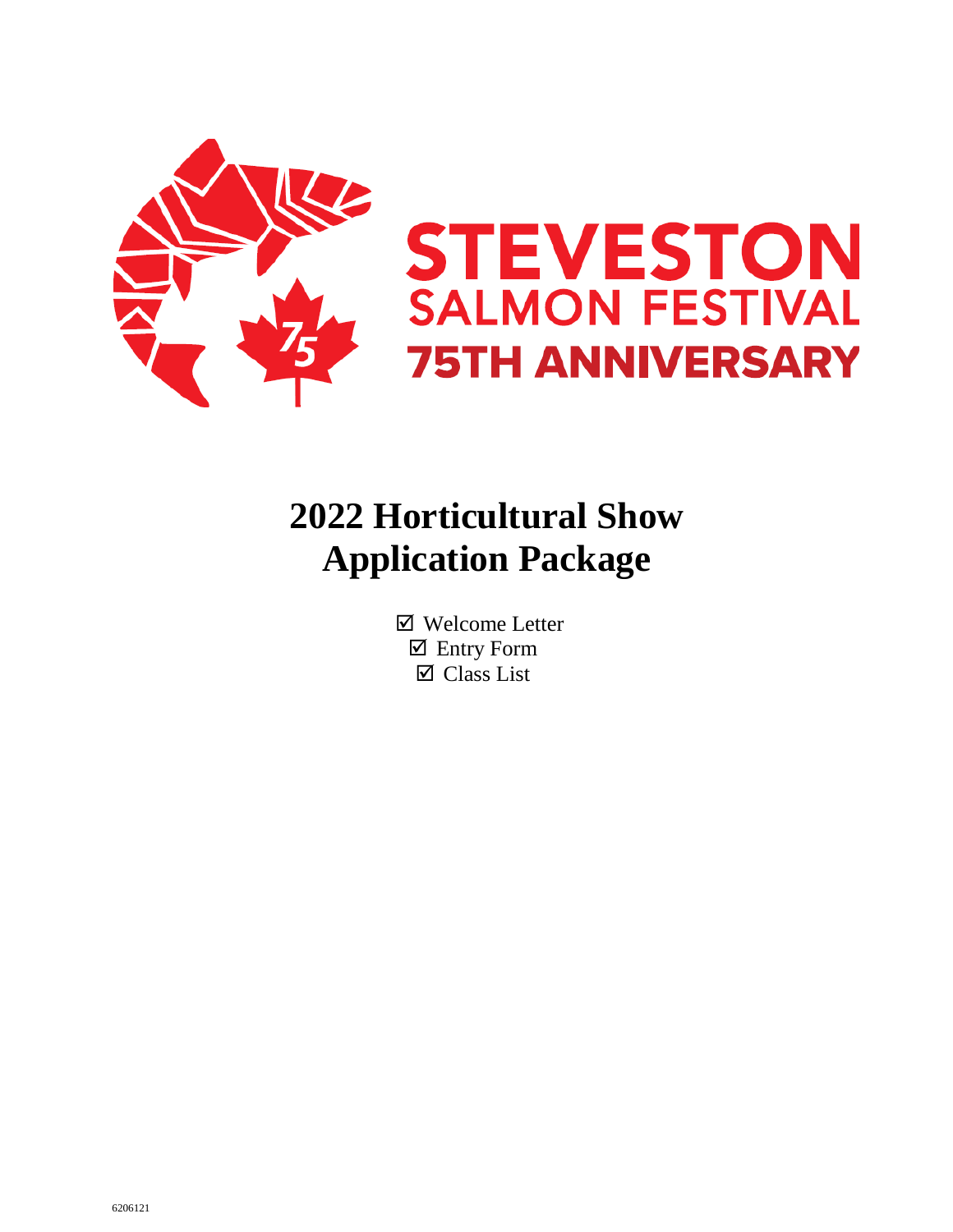



# **2022 Horticultural Show Application Package**

 Welcome Letter Entry Form Class List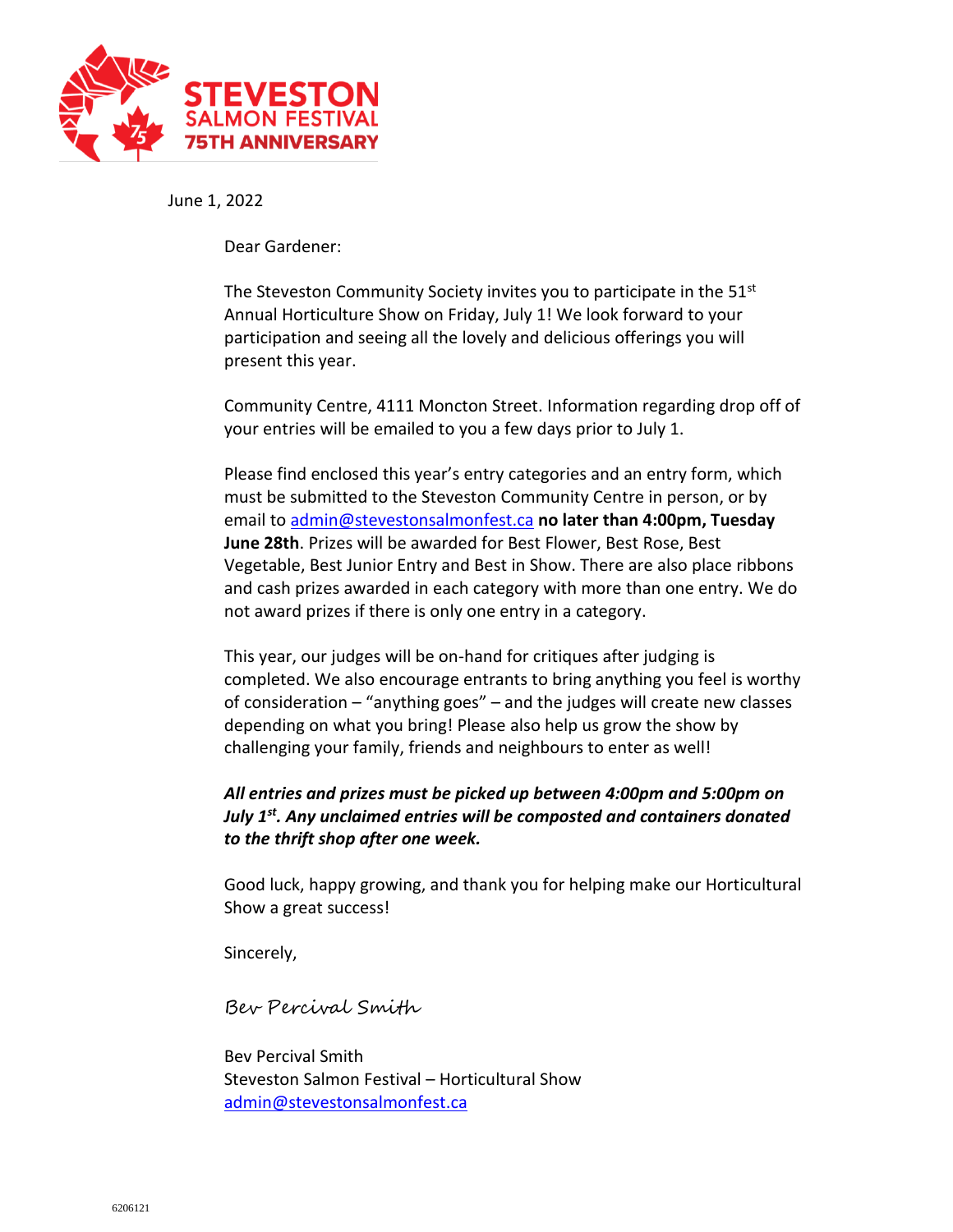

June 1, 2022

Dear Gardener:

The Steveston Community Society invites you to participate in the 51<sup>st</sup> Annual Horticulture Show on Friday, July 1! We look forward to your participation and seeing all the lovely and delicious offerings you will present this year.

Community Centre, 4111 Moncton Street. Information regarding drop off of your entries will be emailed to you a few days prior to July 1.

Please find enclosed this year's entry categories and an entry form, which must be submitted to the Steveston Community Centre in person, or by email to [admin@stevestonsalmonfest.ca](mailto:admin@stevestonsalmonfest.ca) **no later than 4:00pm, Tuesday June 28th**. Prizes will be awarded for Best Flower, Best Rose, Best Vegetable, Best Junior Entry and Best in Show. There are also place ribbons and cash prizes awarded in each category with more than one entry. We do not award prizes if there is only one entry in a category.

This year, our judges will be on-hand for critiques after judging is completed. We also encourage entrants to bring anything you feel is worthy of consideration – "anything goes" – and the judges will create new classes depending on what you bring! Please also help us grow the show by challenging your family, friends and neighbours to enter as well!

# *All entries and prizes must be picked up between 4:00pm and 5:00pm on July 1st . Any unclaimed entries will be composted and containers donated to the thrift shop after one week.*

Good luck, happy growing, and thank you for helping make our Horticultural Show a great success!

Sincerely,

Bev Percival Smith

Bev Percival Smith Steveston Salmon Festival – Horticultural Show [admin@stevestonsalmonfest.ca](mailto:admin@stevestonsalmonfest.ca)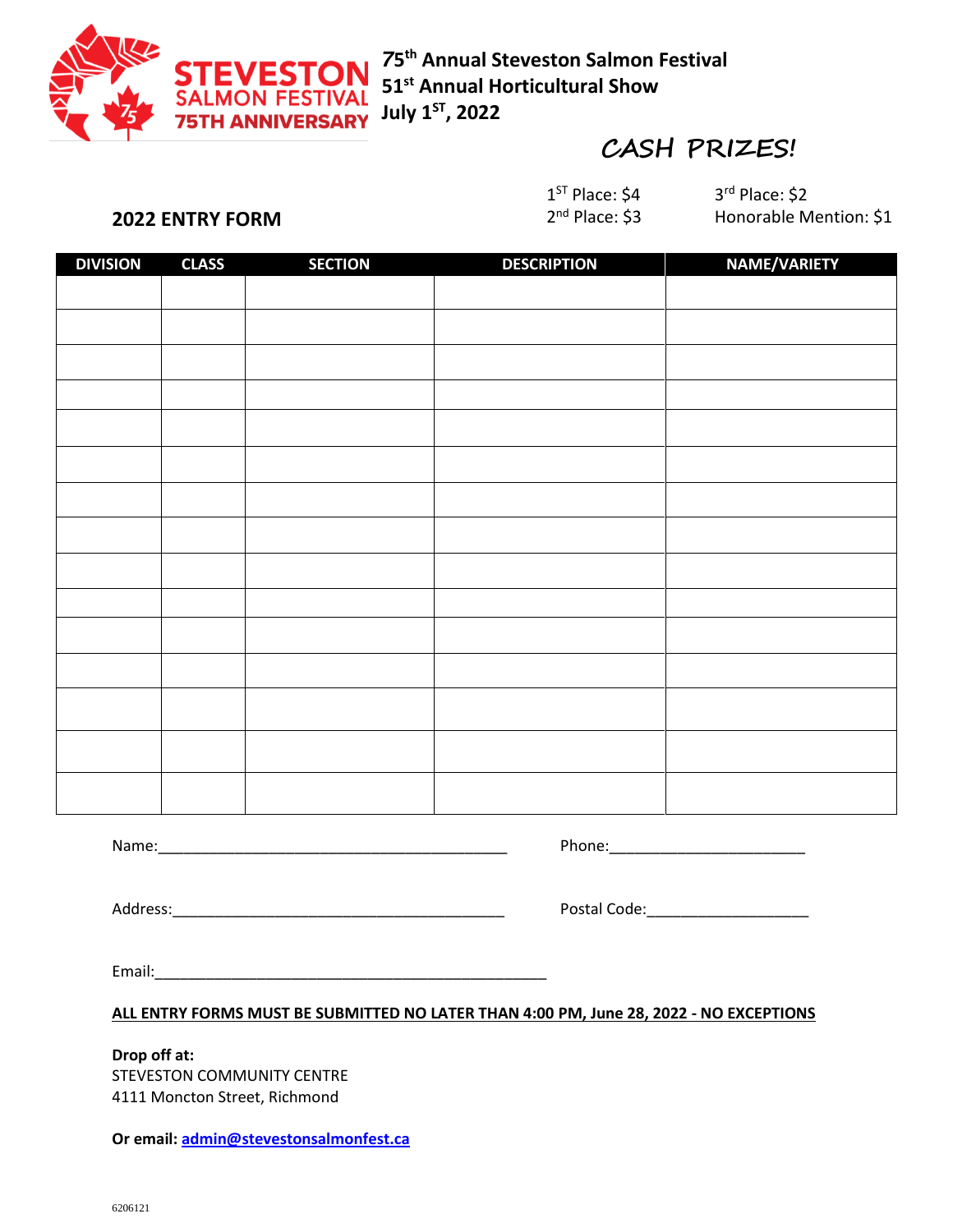

*7***5 th Annual Steveston Salmon Festival 51st Annual Horticultural Show July 1ST, 2022**

# **CASH PRIZES!**

 $1^{ST}$  Place: \$4 3 2<sup>nd</sup> Place: \$3

3rd Place: \$2 Honorable Mention: \$1

# **2022 ENTRY FORM**

| <b>DIVISION</b> | <b>CLASS</b> | <b>SECTION</b> | <b>DESCRIPTION</b> | NAME/VARIETY |
|-----------------|--------------|----------------|--------------------|--------------|
|                 |              |                |                    |              |
|                 |              |                |                    |              |
|                 |              |                |                    |              |
|                 |              |                |                    |              |
|                 |              |                |                    |              |
|                 |              |                |                    |              |
|                 |              |                |                    |              |
|                 |              |                |                    |              |
|                 |              |                |                    |              |
|                 |              |                |                    |              |
|                 |              |                |                    |              |
|                 |              |                |                    |              |
|                 |              |                |                    |              |
|                 |              |                |                    |              |
|                 |              |                |                    |              |
|                 |              |                |                    |              |

Name: where  $\blacksquare$ 

Address:\_\_\_\_\_\_\_\_\_\_\_\_\_\_\_\_\_\_\_\_\_\_\_\_\_\_\_\_\_\_\_\_\_\_\_\_\_\_\_ Postal Code:\_\_\_\_\_\_\_\_\_\_\_\_\_\_\_\_\_\_\_

| Postal Code: |  |
|--------------|--|
|--------------|--|

Email:\_\_\_\_\_\_\_\_\_\_\_\_\_\_\_\_\_\_\_\_\_\_\_\_\_\_\_\_\_\_\_\_\_\_\_\_\_\_\_\_\_\_\_\_\_\_

## **ALL ENTRY FORMS MUST BE SUBMITTED NO LATER THAN 4:00 PM, June 28, 2022 - NO EXCEPTIONS**

#### **Drop off at:**

STEVESTON COMMUNITY CENTRE 4111 Moncton Street, Richmond

**Or email[: admin@stevestonsalmonfest.ca](mailto:admin@stevestonsalmonfest.ca)**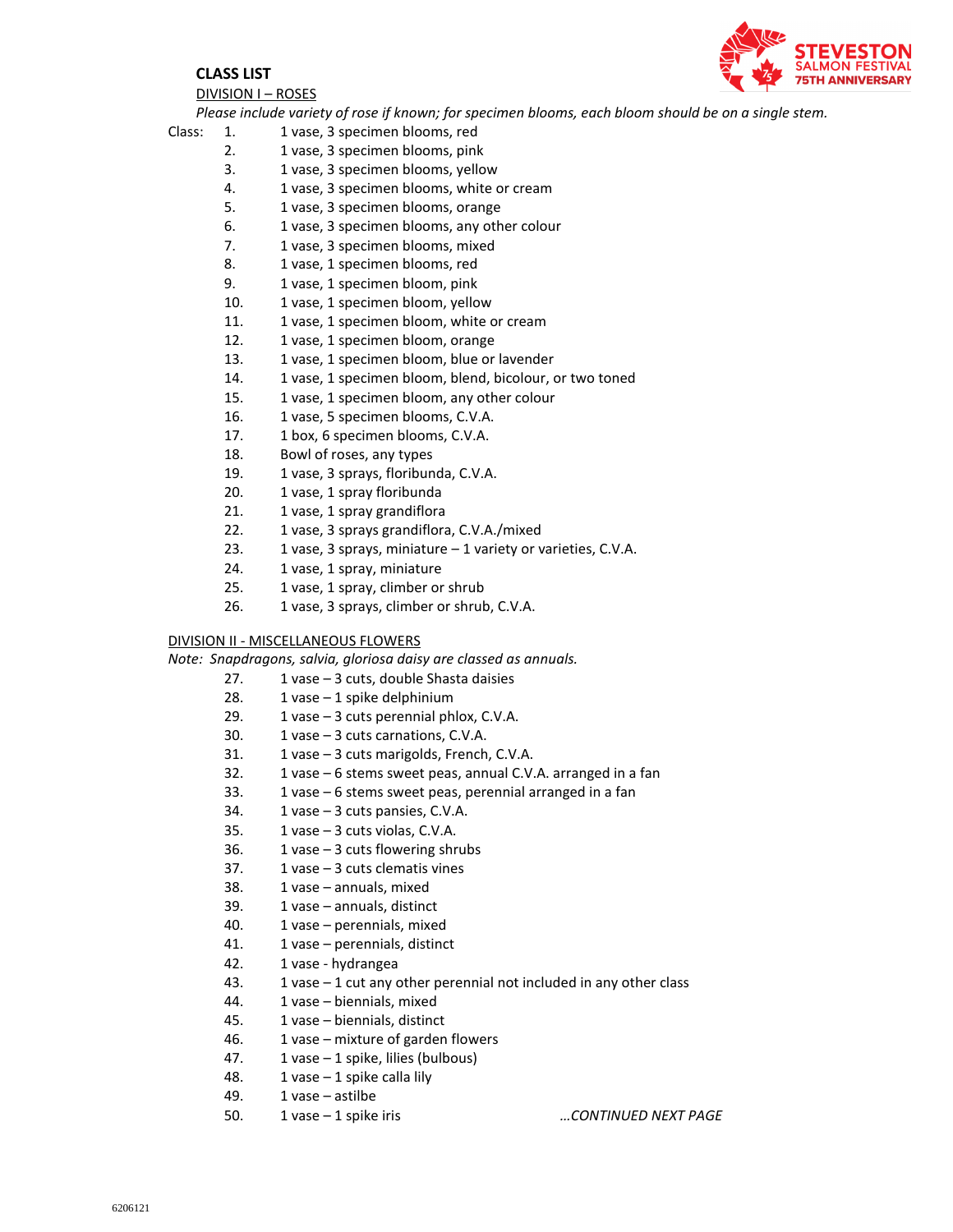

#### **CLASS LIST**

DIVISION I – ROSES

*Please include variety of rose if known; for specimen blooms, each bloom should be on a single stem.*

- Class: 1. 1 vase, 3 specimen blooms, red
	- 2. 1 vase, 3 specimen blooms, pink
	- 3. 1 vase, 3 specimen blooms, yellow
	- 4. 1 vase, 3 specimen blooms, white or cream
	- 5. 1 vase, 3 specimen blooms, orange
	- 6. 1 vase, 3 specimen blooms, any other colour
	- 7. 1 vase, 3 specimen blooms, mixed
	- 8. 1 vase, 1 specimen blooms, red
	- 9. 1 vase, 1 specimen bloom, pink
	- 10. 1 vase, 1 specimen bloom, yellow
	- 11. 1 vase, 1 specimen bloom, white or cream
	- 12. 1 vase, 1 specimen bloom, orange
	- 13. 1 vase, 1 specimen bloom, blue or lavender
	- 14. 1 vase, 1 specimen bloom, blend, bicolour, or two toned
	- 15. 1 vase, 1 specimen bloom, any other colour
	- 16. 1 vase, 5 specimen blooms, C.V.A.
	- 17. 1 box, 6 specimen blooms, C.V.A.
	- 18. Bowl of roses, any types
	- 19. 1 vase, 3 sprays, floribunda, C.V.A.
	- 20. 1 vase, 1 spray floribunda
	- 21. 1 vase, 1 spray grandiflora
	- 22. 1 vase, 3 sprays grandiflora, C.V.A./mixed
	- 23. 1 vase, 3 sprays, miniature  $-1$  variety or varieties, C.V.A.
	- 24. 1 vase, 1 spray, miniature
	- 25. 1 vase, 1 spray, climber or shrub
	- 26. 1 vase, 3 sprays, climber or shrub, C.V.A.

#### DIVISION II - MISCELLANEOUS FLOWERS

*Note: Snapdragons, salvia, gloriosa daisy are classed as annuals.*

- 27. 1 vase 3 cuts, double Shasta daisies
- 28. 1 vase 1 spike delphinium
- 29. 1 vase 3 cuts perennial phlox, C.V.A.
- 30. 1 vase 3 cuts carnations, C.V.A.
- 31. 1 vase 3 cuts marigolds, French, C.V.A.
- 32. 1 vase 6 stems sweet peas, annual C.V.A. arranged in a fan
- 33. 1 vase 6 stems sweet peas, perennial arranged in a fan
- 34. 1 vase 3 cuts pansies, C.V.A.
- 35. 1 vase 3 cuts violas, C.V.A.
- 36. 1 vase  $-3$  cuts flowering shrubs
- 37. 1 vase 3 cuts clematis vines
- 38. 1 vase annuals, mixed
- 39. 1 vase annuals, distinct
- 40. 1 vase perennials, mixed
- 41. 1 vase perennials, distinct
- 42. 1 vase hydrangea
- 43. 1 vase  $-1$  cut any other perennial not included in any other class
- 44. 1 vase biennials, mixed
- 45. 1 vase biennials, distinct
- 46. 1 vase mixture of garden flowers
- 47. 1 vase 1 spike, lilies (bulbous)
- 48. 1 vase 1 spike calla lily
- 49. 1 vase astilbe
- 50. 1 vase 1 spike iris *…CONTINUED NEXT PAGE*
	-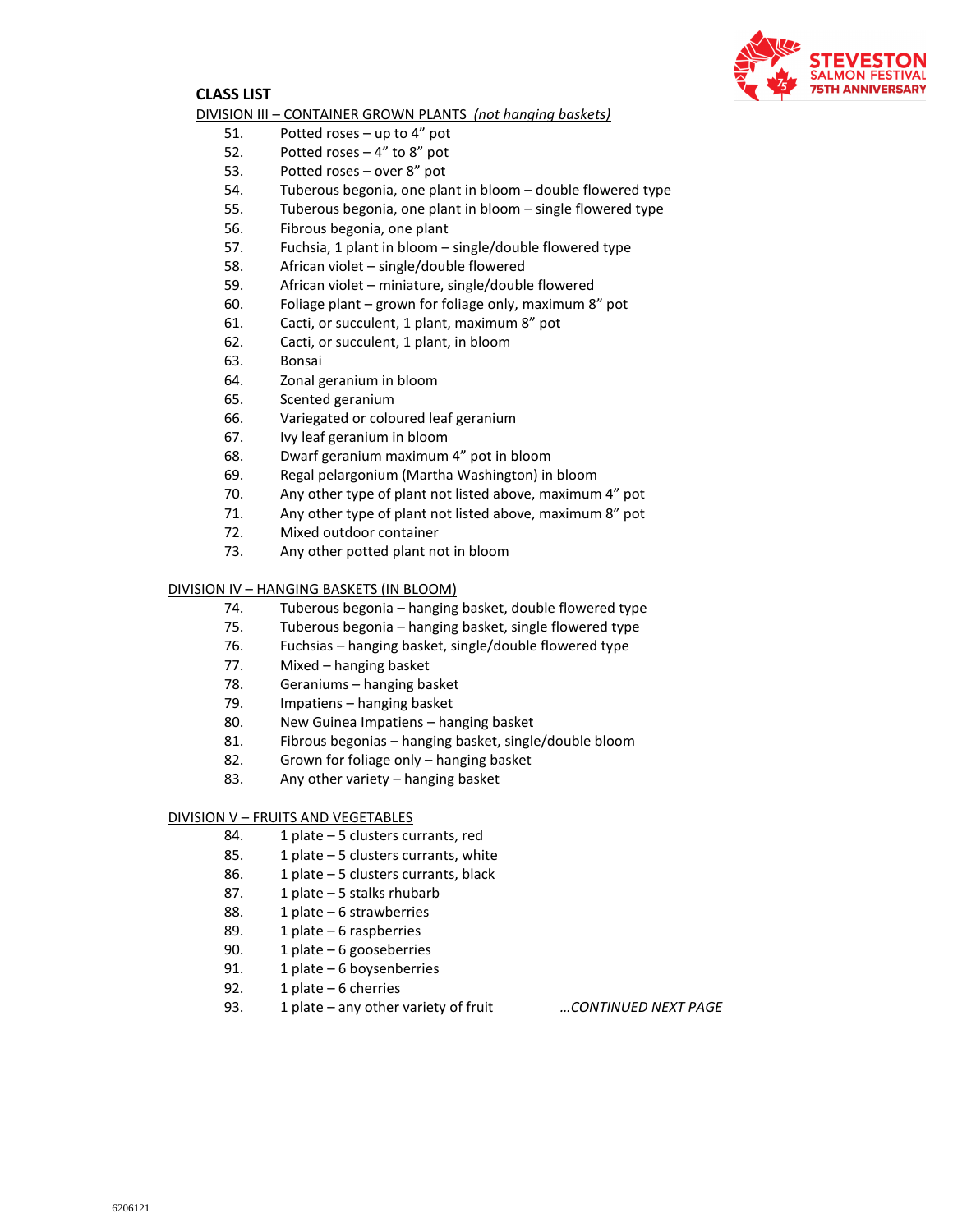

#### **CLASS LIST**

#### DIVISION III – CONTAINER GROWN PLANTS *(not hanging baskets)*

- 51. Potted roses up to 4" pot
- 52. Potted roses 4" to 8" pot
- 53. Potted roses over 8" pot
- 54. Tuberous begonia, one plant in bloom double flowered type
- 55. Tuberous begonia, one plant in bloom single flowered type
- 56. Fibrous begonia, one plant
- 57. Fuchsia, 1 plant in bloom single/double flowered type
- 58. African violet single/double flowered
- 59. African violet miniature, single/double flowered
- 60. Foliage plant grown for foliage only, maximum 8" pot
- 61. Cacti, or succulent, 1 plant, maximum 8" pot
- 62. Cacti, or succulent, 1 plant, in bloom
- 63. Bonsai
- 64. Zonal geranium in bloom
- 65. Scented geranium
- 66. Variegated or coloured leaf geranium
- 67. Ivy leaf geranium in bloom
- 68. Dwarf geranium maximum 4" pot in bloom
- 69. Regal pelargonium (Martha Washington) in bloom
- 70. Any other type of plant not listed above, maximum 4" pot
- 71. Any other type of plant not listed above, maximum 8" pot
- 72. Mixed outdoor container
- 73. Any other potted plant not in bloom

#### DIVISION IV – HANGING BASKETS (IN BLOOM)

- 74. Tuberous begonia hanging basket, double flowered type
- 75. Tuberous begonia hanging basket, single flowered type
- 76. Fuchsias hanging basket, single/double flowered type
- 77. Mixed hanging basket
- 78. Geraniums hanging basket
- 79. Impatiens hanging basket
- 80. New Guinea Impatiens hanging basket
- 81. Fibrous begonias hanging basket, single/double bloom
- 82. Grown for foliage only hanging basket
- 83. Any other variety hanging basket

#### DIVISION V – FRUITS AND VEGETABLES

- 84. 1 plate 5 clusters currants, red
- 85. 1 plate 5 clusters currants, white
- 86. 1 plate 5 clusters currants, black
- 87. 1 plate 5 stalks rhubarb
- 88. 1 plate 6 strawberries
- 89. 1 plate 6 raspberries
- 90. 1 plate 6 gooseberries
- 91. 1 plate 6 boysenberries
- 92. 1 plate 6 cherries
- 93. 1 plate any other variety of fruit *…CONTINUED NEXT PAGE*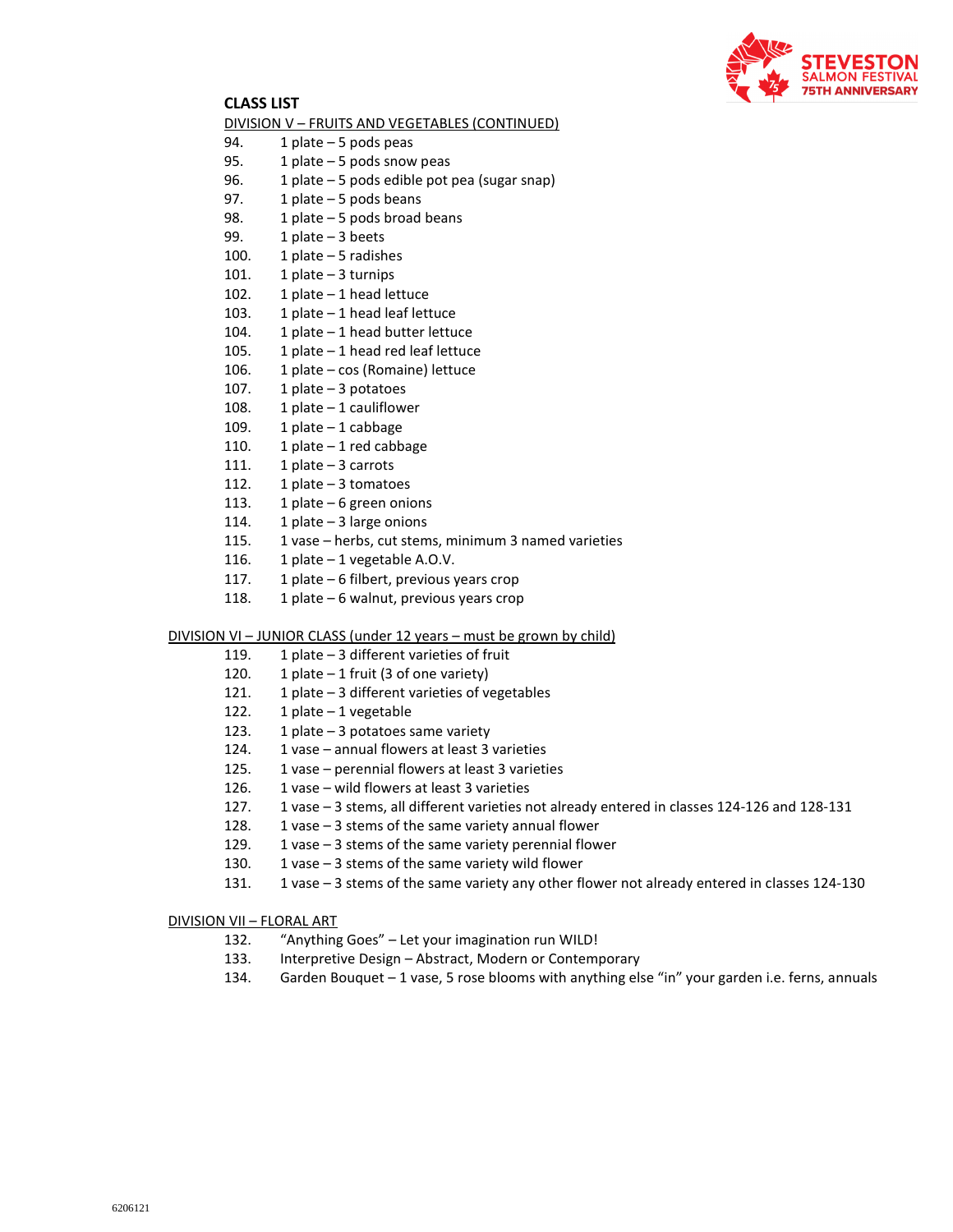

### **CLASS LIST**

#### DIVISION V – FRUITS AND VEGETABLES (CONTINUED)

- 94. 1 plate 5 pods peas
- 95. 1 plate 5 pods snow peas
- 96. 1 plate 5 pods edible pot pea (sugar snap)
- 97. 1 plate 5 pods beans
- 98. 1 plate 5 pods broad beans
- 99. 1 plate 3 beets
- 100. 1 plate 5 radishes
- 101. 1 plate 3 turnips
- 102. 1 plate 1 head lettuce
- 103. 1 plate 1 head leaf lettuce
- 104. 1 plate 1 head butter lettuce
- 105. 1 plate 1 head red leaf lettuce
- 106. 1 plate cos (Romaine) lettuce
- 107. 1 plate 3 potatoes
- 108. 1 plate 1 cauliflower
- 109. 1 plate 1 cabbage
- 110. 1 plate 1 red cabbage
- 111. 1 plate 3 carrots
- 112. 1 plate 3 tomatoes
- 113. 1 plate 6 green onions
- 114. 1 plate 3 large onions
- 115. 1 vase herbs, cut stems, minimum 3 named varieties
- 116. 1 plate 1 vegetable A.O.V.
- 117. 1 plate 6 filbert, previous years crop
- 118. 1 plate 6 walnut, previous years crop

DIVISION VI – JUNIOR CLASS (under 12 years – must be grown by child)

- 119. 1 plate 3 different varieties of fruit
- 120. 1 plate  $-1$  fruit (3 of one variety)
- 121. 1 plate 3 different varieties of vegetables
- 122. 1 plate 1 vegetable
- 123. 1 plate 3 potatoes same variety
- 124. 1 vase annual flowers at least 3 varieties
- 125. 1 vase perennial flowers at least 3 varieties
- 126. 1 vase wild flowers at least 3 varieties
- 127. 1 vase 3 stems, all different varieties not already entered in classes 124-126 and 128-131
- 128. 1 vase  $-3$  stems of the same variety annual flower
- 129.  $1$  vase  $-3$  stems of the same variety perennial flower
- 130. 1 vase 3 stems of the same variety wild flower
- 131. 1 vase 3 stems of the same variety any other flower not already entered in classes 124-130

DIVISION VII – FLORAL ART

- 132. "Anything Goes" Let your imagination run WILD!
- 133. Interpretive Design Abstract, Modern or Contemporary
- 134. Garden Bouquet 1 vase, 5 rose blooms with anything else "in" your garden i.e. ferns, annuals